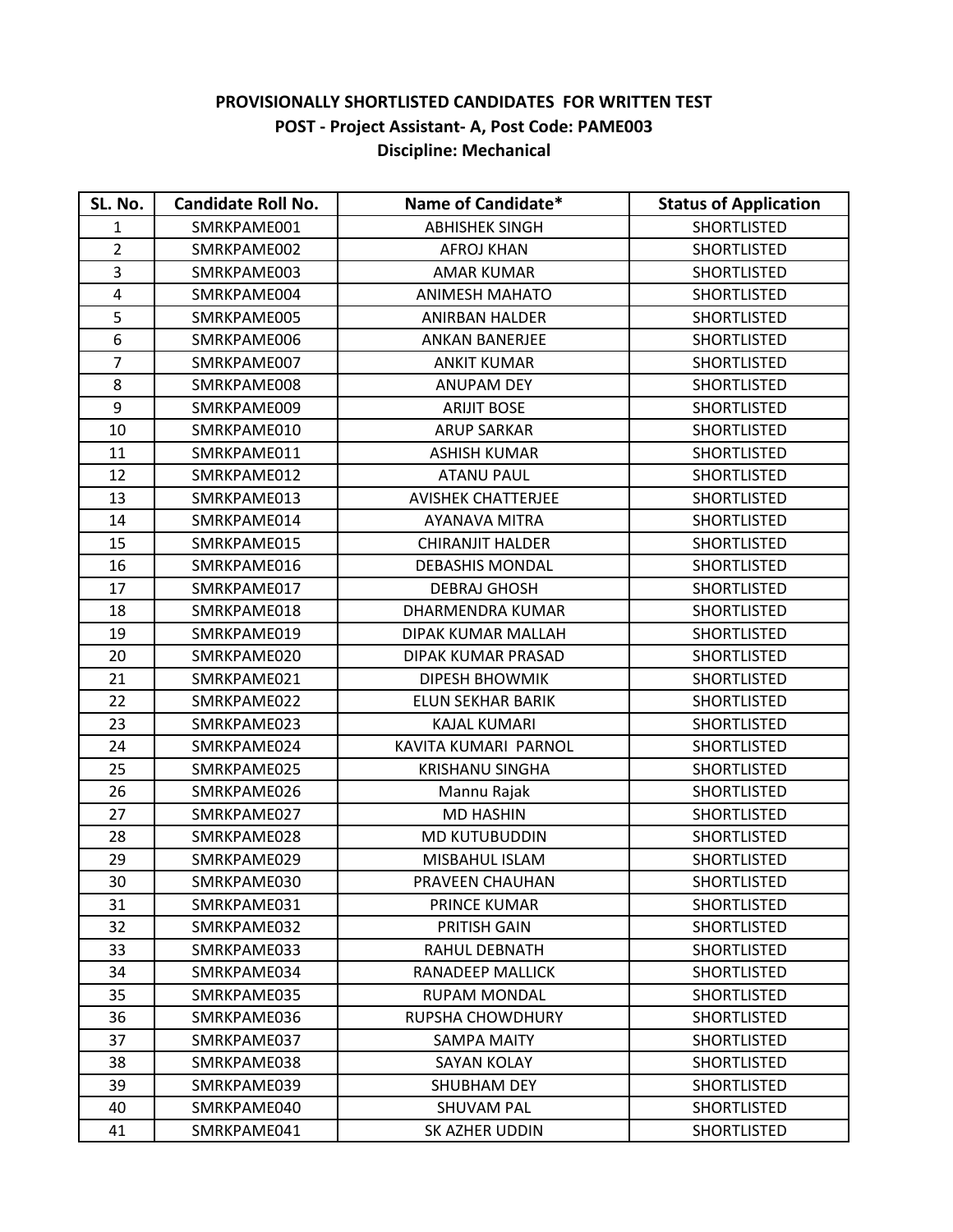## **PROVISIONALLY SHORTLISTED CANDIDATES FOR WRITTEN TEST POST - Project Assistant- A, Post Code: PAME003 Discipline: Mechanical**

| SL. No.        | <b>Candidate Roll No.</b> | Name of Candidate*        | <b>Status of Application</b> |
|----------------|---------------------------|---------------------------|------------------------------|
| $\mathbf{1}$   | SMRKPAME001               | <b>ABHISHEK SINGH</b>     | <b>SHORTLISTED</b>           |
| $\overline{2}$ | SMRKPAME002               | <b>AFROJ KHAN</b>         | SHORTLISTED                  |
| 3              | SMRKPAME003               | <b>AMAR KUMAR</b>         | <b>SHORTLISTED</b>           |
| 4              | SMRKPAME004               | <b>ANIMESH MAHATO</b>     | <b>SHORTLISTED</b>           |
| 5              | SMRKPAME005               | <b>ANIRBAN HALDER</b>     | <b>SHORTLISTED</b>           |
| 6              | SMRKPAME006               | <b>ANKAN BANERJEE</b>     | <b>SHORTLISTED</b>           |
| $\overline{7}$ | SMRKPAME007               | <b>ANKIT KUMAR</b>        | <b>SHORTLISTED</b>           |
| 8              | SMRKPAME008               | <b>ANUPAM DEY</b>         | <b>SHORTLISTED</b>           |
| 9              | SMRKPAME009               | <b>ARIJIT BOSE</b>        | <b>SHORTLISTED</b>           |
| 10             | SMRKPAME010               | <b>ARUP SARKAR</b>        | <b>SHORTLISTED</b>           |
| 11             | SMRKPAME011               | <b>ASHISH KUMAR</b>       | <b>SHORTLISTED</b>           |
| 12             | SMRKPAME012               | <b>ATANU PAUL</b>         | <b>SHORTLISTED</b>           |
| 13             | SMRKPAME013               | <b>AVISHEK CHATTERJEE</b> | <b>SHORTLISTED</b>           |
| 14             | SMRKPAME014               | AYANAVA MITRA             | <b>SHORTLISTED</b>           |
| 15             | SMRKPAME015               | <b>CHIRANJIT HALDER</b>   | <b>SHORTLISTED</b>           |
| 16             | SMRKPAME016               | <b>DEBASHIS MONDAL</b>    | <b>SHORTLISTED</b>           |
| 17             | SMRKPAME017               | <b>DEBRAJ GHOSH</b>       | <b>SHORTLISTED</b>           |
| 18             | SMRKPAME018               | DHARMENDRA KUMAR          | <b>SHORTLISTED</b>           |
| 19             | SMRKPAME019               | DIPAK KUMAR MALLAH        | <b>SHORTLISTED</b>           |
| 20             | SMRKPAME020               | DIPAK KUMAR PRASAD        | <b>SHORTLISTED</b>           |
| 21             | SMRKPAME021               | <b>DIPESH BHOWMIK</b>     | <b>SHORTLISTED</b>           |
| 22             | SMRKPAME022               | ELUN SEKHAR BARIK         | <b>SHORTLISTED</b>           |
| 23             | SMRKPAME023               | KAJAL KUMARI              | <b>SHORTLISTED</b>           |
| 24             | SMRKPAME024               | KAVITA KUMARI PARNOL      | <b>SHORTLISTED</b>           |
| 25             | SMRKPAME025               | <b>KRISHANU SINGHA</b>    | <b>SHORTLISTED</b>           |
| 26             | SMRKPAME026               | Mannu Rajak               | <b>SHORTLISTED</b>           |
| 27             | SMRKPAME027               | <b>MD HASHIN</b>          | <b>SHORTLISTED</b>           |
| 28             | SMRKPAME028               | <b>MD KUTUBUDDIN</b>      | <b>SHORTLISTED</b>           |
| 29             | SMRKPAME029               | MISBAHUL ISLAM            | <b>SHORTLISTED</b>           |
| 30             | SMRKPAME030               | PRAVEEN CHAUHAN           | <b>SHORTLISTED</b>           |
| 31             | SMRKPAME031               | <b>PRINCE KUMAR</b>       | <b>SHORTLISTED</b>           |
| 32             | SMRKPAME032               | PRITISH GAIN              | <b>SHORTLISTED</b>           |
| 33             | SMRKPAME033               | RAHUL DEBNATH             | <b>SHORTLISTED</b>           |
| 34             | SMRKPAME034               | <b>RANADEEP MALLICK</b>   | <b>SHORTLISTED</b>           |
| 35             | SMRKPAME035               | <b>RUPAM MONDAL</b>       | <b>SHORTLISTED</b>           |
| 36             | SMRKPAME036               | RUPSHA CHOWDHURY          | <b>SHORTLISTED</b>           |
| 37             | SMRKPAME037               | <b>SAMPA MAITY</b>        | <b>SHORTLISTED</b>           |
| 38             | SMRKPAME038               | SAYAN KOLAY               | <b>SHORTLISTED</b>           |
| 39             | SMRKPAME039               | <b>SHUBHAM DEY</b>        | <b>SHORTLISTED</b>           |
| 40             | SMRKPAME040               | <b>SHUVAM PAL</b>         | <b>SHORTLISTED</b>           |
| 41             | SMRKPAME041               | SK AZHER UDDIN            | <b>SHORTLISTED</b>           |